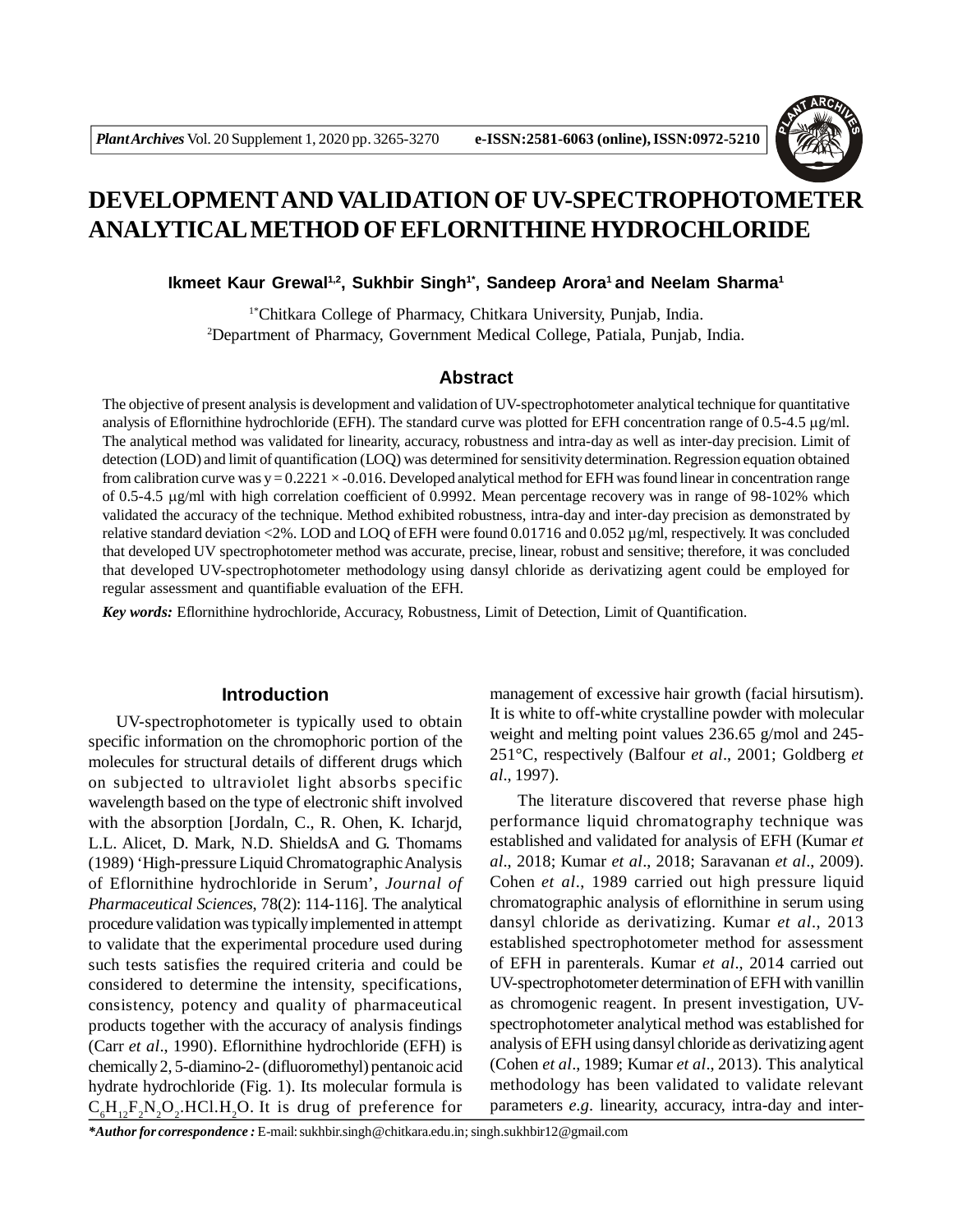

# **DEVELOPMENTAND VALIDATION OF UV-SPECTROPHOTOMETER ANALYTICAL METHOD OF EFLORNITHINE HYDROCHLORIDE**

### **Ikmeet Kaur Grewal1,2, Sukhbir Singh1\*, Sandeep Arora<sup>1</sup>and Neelam Sharma<sup>1</sup>**

1\*Chitkara College of Pharmacy, Chitkara University, Punjab, India. <sup>2</sup>Department of Pharmacy, Government Medical College, Patiala, Punjab, India.

# **Abstract**

The objective of present analysis is development and validation of UV-spectrophotometer analytical technique for quantitative analysis of Eflornithine hydrochloride (EFH). The standard curve was plotted for EFH concentration range of  $0.5$ -4.5  $\mu$ g/ml. The analytical method was validated for linearity, accuracy, robustness and intra-day as well as inter-day precision. Limit of detection (LOD) and limit of quantification (LOQ) was determined for sensitivity determination. Regression equation obtained from calibration curve was  $y = 0.2221 \times 0.016$ . Developed analytical method for EFH was found linear in concentration range of 0.5-4.5 g/ml with high correlation coefficient of 0.9992. Mean percentage recovery was in range of 98-102% which validated the accuracy of the technique. Method exhibited robustness, intra-day and inter-day precision as demonstrated by relative standard deviation <2%. LOD and LOQ of EFH were found 0.01716 and 0.052 µg/ml, respectively. It was concluded that developed UV spectrophotometer method was accurate, precise, linear, robust and sensitive; therefore, it was concluded that developed UV-spectrophotometer methodology using dansyl chloride as derivatizing agent could be employed for regular assessment and quantifiable evaluation of the EFH.

*Key words:* Eflornithine hydrochloride, Accuracy, Robustness, Limit of Detection, Limit of Quantification.

#### **Introduction**

UV-spectrophotometer is typically used to obtain specific information on the chromophoric portion of the molecules for structural details of different drugs which on subjected to ultraviolet light absorbs specific wavelength based on the type of electronic shift involved with the absorption [Jordaln, C., R. Ohen, K. Icharjd, L.L. Alicet, D. Mark, N.D. ShieldsA and G. Thomams (1989) 'High-pressure Liquid Chromatographic Analysis of Eflornithine hydrochloride in Serum', *Journal of Pharmaceutical Sciences*, 78(2): 114-116]. The analytical procedure validation was typically implemented in attempt to validate that the experimental procedure used during such tests satisfies the required criteria and could be considered to determine the intensity, specifications, consistency, potency and quality of pharmaceutical products together with the accuracy of analysis findings (Carr *et al*., 1990). Eflornithine hydrochloride (EFH) is chemically 2, 5-diamino-2- (difluoromethyl) pentanoic acid hydrate hydrochloride (Fig. 1). Its molecular formula is  $C_6H_{12}F_2N_2O_2$ .HCl.H<sub>2</sub>O. It is drug of preference for

management of excessive hair growth (facial hirsutism). It is white to off-white crystalline powder with molecular weight and melting point values 236.65 g/mol and 245- 251°C, respectively (Balfour *et al*., 2001; Goldberg *et al*., 1997).

The literature discovered that reverse phase high performance liquid chromatography technique was established and validated for analysis of EFH (Kumar *et al*., 2018; Kumar *et al*., 2018; Saravanan *et al*., 2009). Cohen *et al*., 1989 carried out high pressure liquid chromatographic analysis of eflornithine in serum using dansyl chloride as derivatizing. Kumar *et al*., 2013 established spectrophotometer method for assessment of EFH in parenterals. Kumar *et al*., 2014 carried out UV-spectrophotometer determination of EFH with vanillin as chromogenic reagent. In present investigation, UVspectrophotometer analytical method was established for analysis of EFH using dansyl chloride as derivatizing agent (Cohen *et al*., 1989; Kumar *et al*., 2013). This analytical methodology has been validated to validate relevant parameters *e.g.* linearity, accuracy, intra-day and inter-

*\*Author for correspondence :* E-mail: sukhbir.singh@chitkara.edu.in; singh.sukhbir12@gmail.com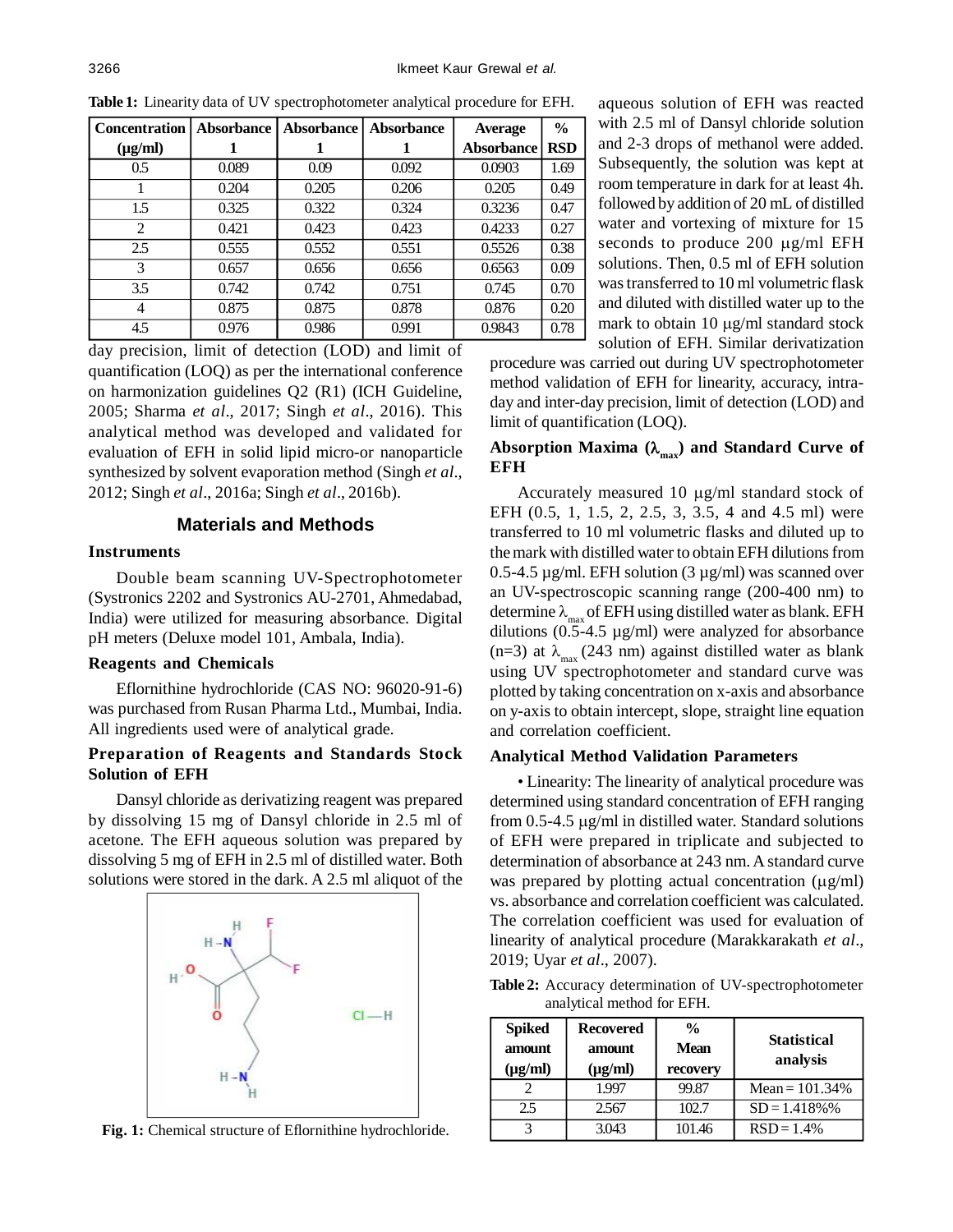| <b>Concentration</b> | Absorbance | <b>Absorbance</b> | <b>Absorbance</b> | <b>Average</b>    | $\frac{0}{0}$ |
|----------------------|------------|-------------------|-------------------|-------------------|---------------|
| $(\mu g/ml)$         |            |                   |                   | <b>Absorbance</b> | <b>RSD</b>    |
| $0.5^{\circ}$        | 0.089      | 0.09              | 0.092             | 0.0903            | 1.69          |
|                      | 0.204      | 0.205             | 0.206             | 0.205             | 0.49          |
| 1.5                  | 0.325      | 0.322             | 0.324             | 0.3236            | 0.47          |
| $\overline{2}$       | 0.421      | 0.423             | 0.423             | 0.4233            | 0.27          |
| 2.5                  | 0.555      | 0.552             | 0.551             | 0.5526            | 0.38          |
| 3                    | 0.657      | 0.656             | 0.656             | 0.6563            | 0.09          |
| 3.5                  | 0.742      | 0.742             | 0.751             | 0.745             | 0.70          |
| 4                    | 0.875      | 0.875             | 0.878             | 0.876             | 0.20          |
| 4.5                  | 0.976      | 0.986             | 0.991             | 0.9843            | 0.78          |

**Table 1:** Linearity data of UV spectrophotometer analytical procedure for EFH.

day precision, limit of detection (LOD) and limit of quantification (LOQ) as per the international conference on harmonization guidelines Q2 (R1) (ICH Guideline, 2005; Sharma *et al*., 2017; Singh *et al*., 2016). This analytical method was developed and validated for evaluation of EFH in solid lipid micro-or nanoparticle synthesized by solvent evaporation method (Singh *et al*., 2012; Singh *et al*., 2016a; Singh *et al*., 2016b).

## **Materials and Methods**

#### **Instruments**

Double beam scanning UV-Spectrophotometer (Systronics 2202 and Systronics AU-2701, Ahmedabad, India) were utilized for measuring absorbance. Digital pH meters (Deluxe model 101, Ambala, India).

### **Reagents and Chemicals**

Eflornithine hydrochloride (CAS NO: 96020-91-6) was purchased from Rusan Pharma Ltd., Mumbai, India. All ingredients used were of analytical grade.

# **Preparation of Reagents and Standards Stock Solution of EFH**

Dansyl chloride as derivatizing reagent was prepared by dissolving 15 mg of Dansyl chloride in 2.5 ml of acetone. The EFH aqueous solution was prepared by dissolving 5 mg of EFH in 2.5 ml of distilled water. Both solutions were stored in the dark. A 2.5 ml aliquot of the



**Fig. 1:** Chemical structure of Eflornithine hydrochloride.

aqueous solution of EFH was reacted with 2.5 ml of Dansyl chloride solution and 2-3 drops of methanol were added. Subsequently, the solution was kept at room temperature in dark for at least 4h. followed by addition of 20 mL of distilled water and vortexing of mixture for 15 seconds to produce 200  $\mu$ g/ml EFH solutions. Then, 0.5 ml of EFH solution was transferred to 10 ml volumetric flask and diluted with distilled water up to the mark to obtain  $10 \mu g/ml$  standard stock solution of EFH. Similar derivatization

procedure was carried out during UV spectrophotometer method validation of EFH for linearity, accuracy, intraday and inter-day precision, limit of detection (LOD) and limit of quantification (LOQ).

### **Absorption Maxima (max ) and Standard Curve of EFH**

Accurately measured 10  $\mu$ g/ml standard stock of EFH (0.5, 1, 1.5, 2, 2.5, 3, 3.5, 4 and 4.5 ml) were transferred to 10 ml volumetric flasks and diluted up to the mark with distilled water to obtain EFH dilutions from 0.5-4.5  $\mu$ g/ml. EFH solution (3  $\mu$ g/ml) was scanned over an UV-spectroscopic scanning range (200-400 nm) to determine  $\lambda_{\text{max}}$  of EFH using distilled water as blank. EFH dilutions  $(0.5-4.5 \text{ µg/ml})$  were analyzed for absorbance (n=3) at  $\lambda_{\text{max}}$  (243 nm) against distilled water as blank using UV spectrophotometer and standard curve was plotted by taking concentration on x-axis and absorbance on y-axis to obtain intercept, slope, straight line equation and correlation coefficient.

#### **Analytical Method Validation Parameters**

• Linearity: The linearity of analytical procedure was determined using standard concentration of EFH ranging from  $0.5$ -4.5  $\mu$ g/ml in distilled water. Standard solutions of EFH were prepared in triplicate and subjected to determination of absorbance at 243 nm. A standard curve was prepared by plotting actual concentration  $(\mu g/ml)$ vs. absorbance and correlation coefficient was calculated. The correlation coefficient was used for evaluation of linearity of analytical procedure (Marakkarakath *et al*., 2019; Uyar *et al*., 2007).

**Table 2:** Accuracy determination of UV-spectrophotometer analytical method for EFH.

| <b>Spiked</b><br>amount<br>$(\mu g/ml)$ | <b>Recovered</b><br>amount<br>$(\mu g/ml)$ | $\frac{0}{0}$<br><b>Mean</b><br>recovery | <b>Statistical</b><br>analysis |  |
|-----------------------------------------|--------------------------------------------|------------------------------------------|--------------------------------|--|
|                                         | 1.997                                      | 99.87                                    | Mean = $101.34%$               |  |
| 2.5                                     | 2.567                                      | 102.7                                    | $SD = 1.418\%$ %               |  |
|                                         | 3.043                                      | 101.46                                   | $RSD = 1.4%$                   |  |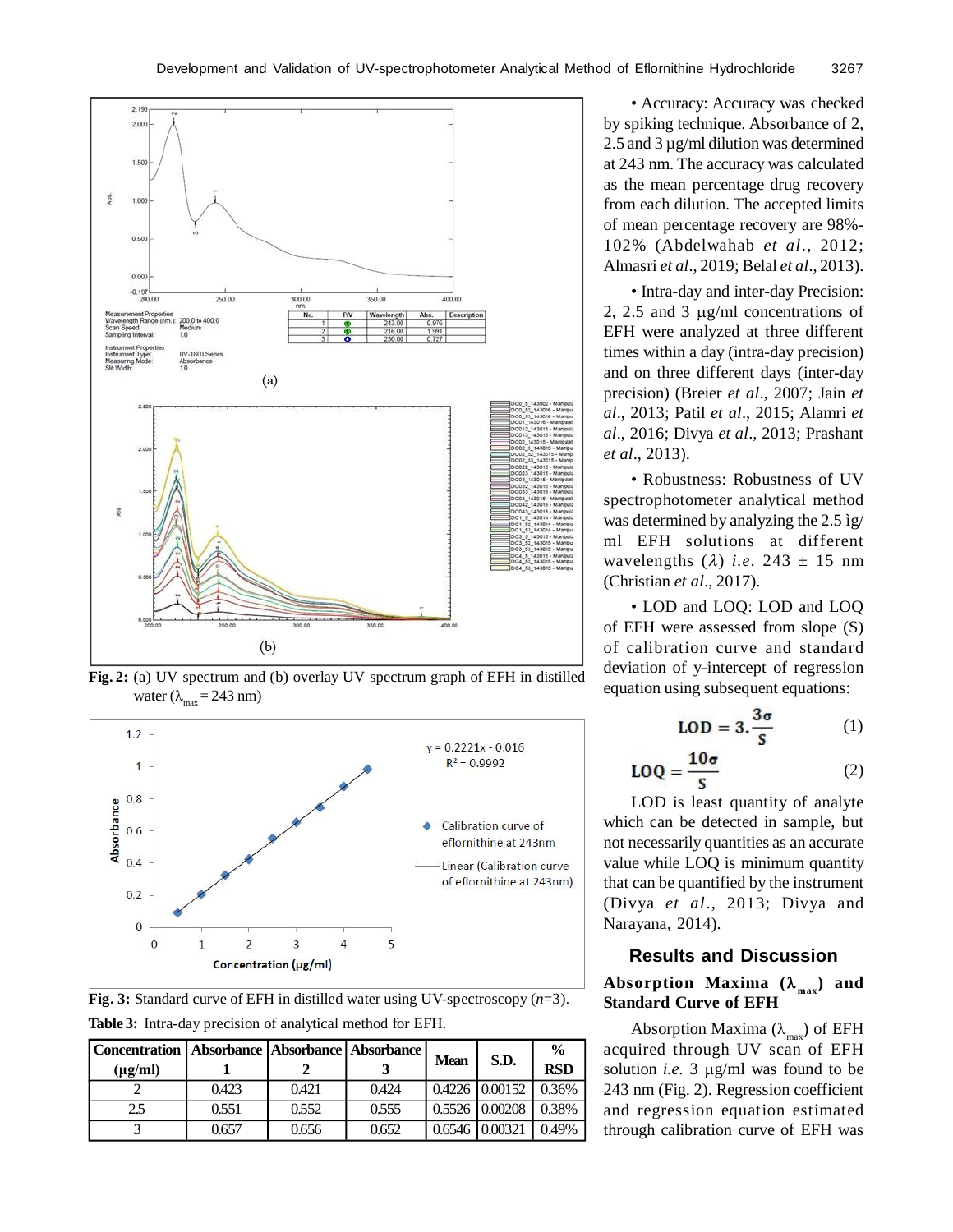

**Fig. 2:** (a) UV spectrum and (b) overlay UV spectrum graph of EFH in distilled water ( $\lambda_{\text{max}} = 243 \text{ nm}$ )



**Fig. 3:** Standard curve of EFH in distilled water using UV-spectroscopy (*n*=3).

**Table 3:** Intra-day precision of analytical method for EFH.

| Concentration   Absorbance   Absorbance   Absorbance  <br>$(\mu g/ml)$ |       |       |       | <b>Mean</b> | S.D.             | $\frac{0}{0}$<br><b>RSD</b> |
|------------------------------------------------------------------------|-------|-------|-------|-------------|------------------|-----------------------------|
|                                                                        | 0.423 | 0.421 | 0.424 |             | $0.4226$ 0.00152 | 0.36%                       |
| 2.5                                                                    | 0.551 | 0.552 | 0.555 |             | $0.5526$ 0.00208 | 0.38%                       |
|                                                                        | 0.657 | 0.656 | 0.652 | 0.6546      | 10,00321         | 0.49%                       |

• Accuracy: Accuracy was checked by spiking technique. Absorbance of 2, 2.5 and 3 µg/ml dilution was determined at 243 nm. The accuracy was calculated as the mean percentage drug recovery from each dilution. The accepted limits of mean percentage recovery are 98%- 102% (Abdelwahab *et al*., 2012; Almasri *et al*., 2019; Belal *et al*., 2013).

• Intra-day and inter-day Precision: 2, 2.5 and 3  $\mu$ g/ml concentrations of EFH were analyzed at three different times within a day (intra-day precision) and on three different days (inter-day precision) (Breier *et al*., 2007; Jain *et al*., 2013; Patil *et al*., 2015; Alamri *et al*., 2016; Divya *et al*., 2013; Prashant *et al*., 2013).

• Robustness: Robustness of UV spectrophotometer analytical method was determined by analyzing the 2.5 ìg/ ml EFH solutions at different wavelengths  $(\lambda)$  *i.e.* 243  $\pm$  15 nm (Christian *et al*., 2017).

• LOD and LOQ: LOD and LOQ of EFH were assessed from slope (S) of calibration curve and standard deviation of y-intercept of regression equation using subsequent equations:

$$
LOD = 3.\frac{3\sigma}{s} \tag{1}
$$

$$
LOQ = \frac{10\sigma}{S} \tag{2}
$$

LOD is least quantity of analyte which can be detected in sample, but not necessarily quantities as an accurate value while LOQ is minimum quantity that can be quantified by the instrument (Divya *et al*., 2013; Divya and Narayana, 2014).

# **Results and Discussion Absorption Maxima ( max ) and Standard Curve of EFH**

Absorption Maxima ( $\lambda_{\text{max}}$ ) of EFH acquired through UV scan of EFH solution *i.e.*  $3 \mu g/ml$  was found to be 243 nm (Fig. 2). Regression coefficient and regression equation estimated through calibration curve of EFH was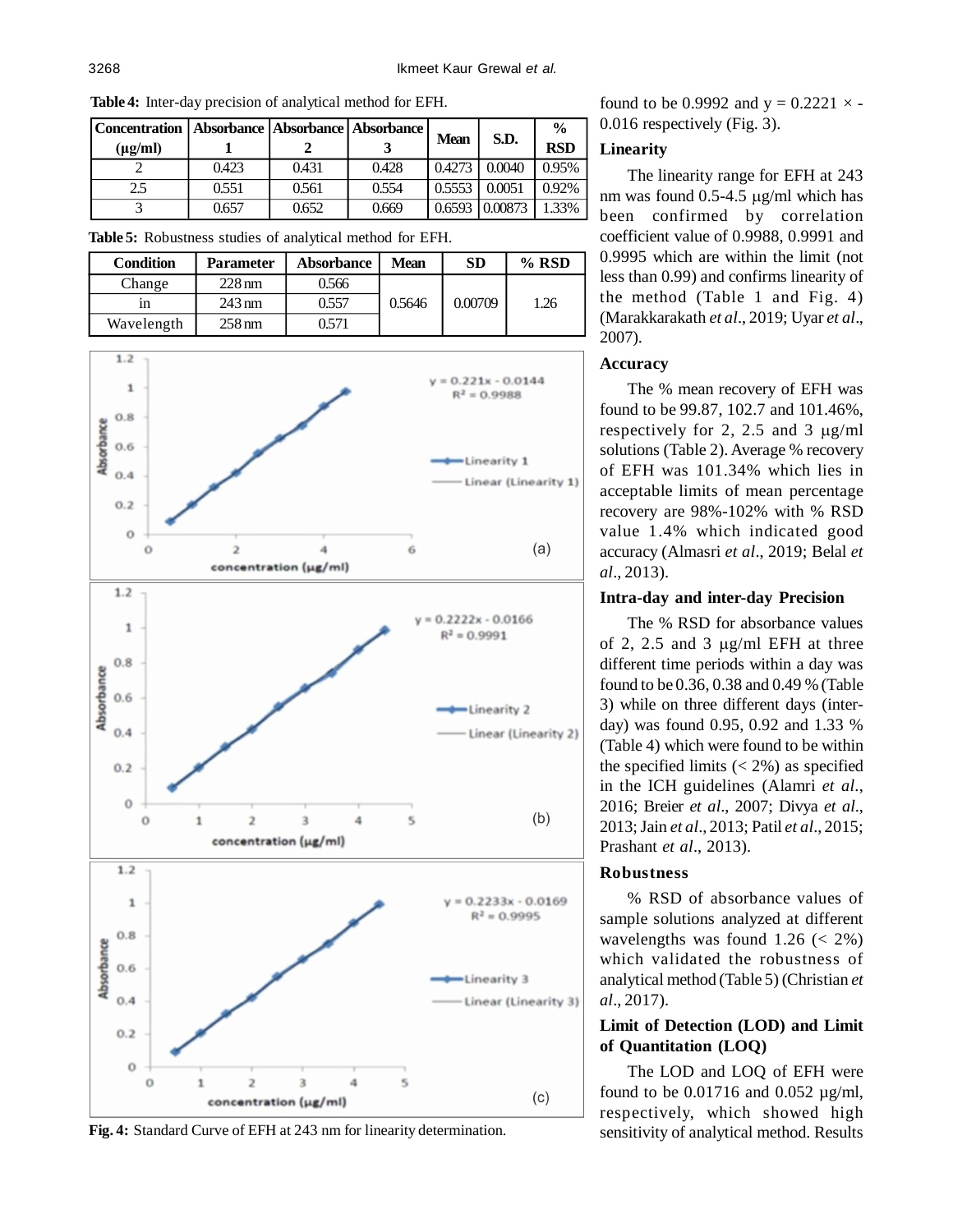| Concentration   Absorbance   Absorbance   Absorbance |       |       |       |             |                       | $\frac{6}{9}$ |
|------------------------------------------------------|-------|-------|-------|-------------|-----------------------|---------------|
| $(\mu \mathbf{g}/m)$                                 |       |       |       | <b>Mean</b> | S.D.                  | <b>RSD</b>    |
|                                                      | 0.423 | 0.431 | 0.428 | 0.4273      | 0.0040                | 0.95%         |
| 2.5                                                  | 0.551 | 0.561 | 0.554 | 0.5553      | 0.0051                | 0.92%         |
|                                                      | 0.657 | 0.652 | 0.669 |             | $0.6593 \mid 0.00873$ | 1.33%         |

**Table 4:** Inter-day precision of analytical method for EFH.

**Table 5:** Robustness studies of analytical method for EFH.

| <b>Condition</b> | <b>Parameter</b> | <b>Absorbance</b> | <b>Mean</b> | SD      | $%$ RSD |
|------------------|------------------|-------------------|-------------|---------|---------|
| Change           | $228 \text{ nm}$ | 0.566             |             |         |         |
| 1n               | $243 \text{ nm}$ | 0.557             | 0.5646      | 0.00709 | 26      |
| Wavelength       | $258 \text{ nm}$ | 0.571             |             |         |         |



**Fig. 4:** Standard Curve of EFH at 243 nm for linearity determination.

found to be 0.9992 and  $y = 0.2221 \times -$ 0.016 respectively (Fig. 3).

# **Linearity**

The linearity range for EFH at 243 nm was found  $0.5-4.5 \mu$ g/ml which has been confirmed by correlation coefficient value of 0.9988, 0.9991 and 0.9995 which are within the limit (not less than 0.99) and confirms linearity of the method (Table 1 and Fig. 4) (Marakkarakath *et al*., 2019; Uyar *et al*., 2007).

# **Accuracy**

The % mean recovery of EFH was found to be 99.87, 102.7 and 101.46%, respectively for 2, 2.5 and 3  $\mu$ g/ml solutions (Table 2). Average % recovery of EFH was 101.34% which lies in acceptable limits of mean percentage recovery are 98%-102% with % RSD value 1.4% which indicated good accuracy (Almasri *et al*., 2019; Belal *et al*., 2013).

# **Intra-day and inter-day Precision**

The % RSD for absorbance values of 2, 2.5 and 3  $\mu$ g/ml EFH at three different time periods within a day was found to be 0.36, 0.38 and 0.49 % (Table 3) while on three different days (interday) was found 0.95, 0.92 and 1.33 % (Table 4) which were found to be within the specified limits  $(< 2\%)$  as specified in the ICH guidelines (Alamri *et al*., 2016; Breier *et al*., 2007; Divya *et al*., 2013; Jain *et al*., 2013; Patil *et al*., 2015; Prashant *et al*., 2013).

# **Robustness**

% RSD of absorbance values of sample solutions analyzed at different wavelengths was found  $1.26 \le 2\%)$ which validated the robustness of analytical method (Table 5) (Christian *et al*., 2017).

# **Limit of Detection (LOD) and Limit of Quantitation (LOQ)**

The LOD and LOQ of EFH were found to be  $0.01716$  and  $0.052 \mu g/ml$ , respectively, which showed high sensitivity of analytical method. Results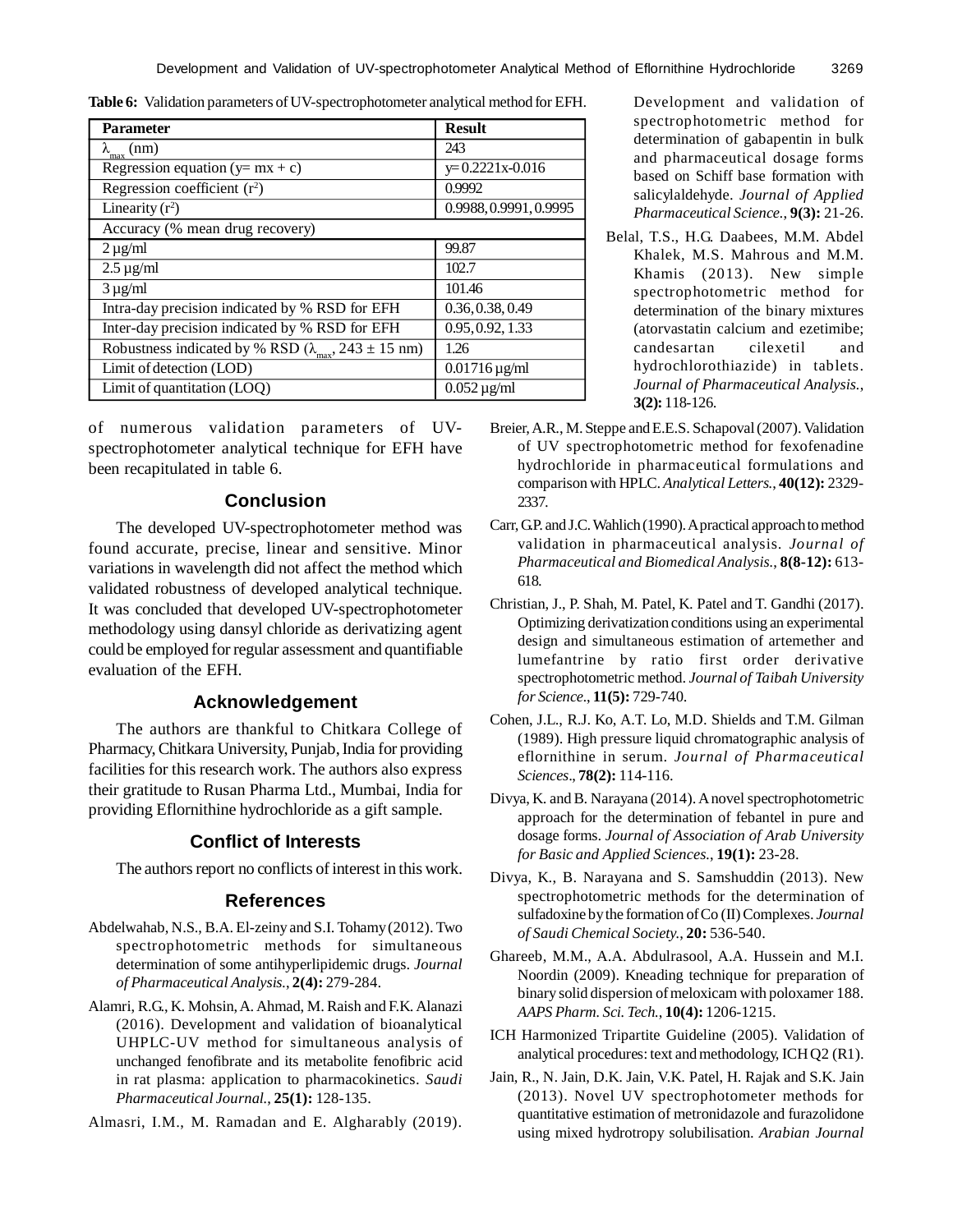**Table 6:** Validation parameters of UV-spectrophotometer analytical method for EFH.

| <b>Parameter</b>                                                      | <b>Result</b>               |
|-----------------------------------------------------------------------|-----------------------------|
| $\lambda_{\max}$ (nm)                                                 | 243                         |
| Regression equation ( $y = mx + c$ )                                  | $y=0.2221x-0.016$           |
| Regression coefficient $(r^2)$                                        | 0.9992                      |
| Linearity $(r^2)$                                                     | 0.9988, 0.9991, 0.9995      |
| Accuracy (% mean drug recovery)                                       |                             |
| $2 \mu g/ml$                                                          | 99.87                       |
| $2.5 \mu$ g/ml                                                        | 102.7                       |
| $3 \mu g/ml$                                                          | 101.46                      |
| Intra-day precision indicated by % RSD for EFH                        | 0.36, 0.38, 0.49            |
| Inter-day precision indicated by % RSD for EFH                        | 0.95, 0.92, 1.33            |
| Robustness indicated by % RSD ( $\lambda_{\text{max}}$ , 243 ± 15 nm) | 1.26                        |
| Limit of detection (LOD)                                              | $0.01716 \,\mu\text{g/ml}$  |
| Limit of quantitation (LOQ)                                           | $0.052 \,\mathrm{\mu g/ml}$ |

of numerous validation parameters of UVspectrophotometer analytical technique for EFH have been recapitulated in table 6.

# **Conclusion**

The developed UV-spectrophotometer method was found accurate, precise, linear and sensitive. Minor variations in wavelength did not affect the method which validated robustness of developed analytical technique. It was concluded that developed UV-spectrophotometer methodology using dansyl chloride as derivatizing agent could be employed for regular assessment and quantifiable evaluation of the EFH.

# **Acknowledgement**

The authors are thankful to Chitkara College of Pharmacy, Chitkara University, Punjab, India for providing facilities for this research work. The authors also express their gratitude to Rusan Pharma Ltd., Mumbai, India for providing Eflornithine hydrochloride as a gift sample.

#### **Conflict of Interests**

The authors report no conflicts of interest in this work.

### **References**

- Abdelwahab, N.S., B.A. El-zeiny and S.I. Tohamy (2012). Two spectrophotometric methods for simultaneous determination of some antihyperlipidemic drugs. *Journal of Pharmaceutical Analysis.*, **2(4):** 279-284.
- Alamri, R.G., K. Mohsin, A. Ahmad, M. Raish and F.K. Alanazi (2016). Development and validation of bioanalytical UHPLC-UV method for simultaneous analysis of unchanged fenofibrate and its metabolite fenofibric acid in rat plasma: application to pharmacokinetics. *Saudi Pharmaceutical Journal.*, **25(1):** 128-135.
- Almasri, I.M., M. Ramadan and E. Algharably (2019).

Development and validation of spectrophotometric method for determination of gabapentin in bulk and pharmaceutical dosage forms based on Schiff base formation with salicylaldehyde. *Journal of Applied Pharmaceutical Science.*, **9(3):** 21-26.

- Belal, T.S., H.G. Daabees, M.M. Abdel Khalek, M.S. Mahrous and M.M. Khamis (2013). New simple spectrophotometric method for determination of the binary mixtures (atorvastatin calcium and ezetimibe; candesartan cilexetil and hydrochlorothiazide) in tablets. *Journal of Pharmaceutical Analysis.*, **3(2):** 118-126.
- Breier, A.R., M. Steppe and E.E.S. Schapoval (2007). Validation of UV spectrophotometric method for fexofenadine hydrochloride in pharmaceutical formulations and comparison with HPLC. *Analytical Letters.*, **40(12):** 2329- 2337.
- Carr, GP. and J.C. Wahlich (1990). A practical approach to method validation in pharmaceutical analysis. *Journal of Pharmaceutical and Biomedical Analysis.*, **8(8-12):** 613- 618.
- Christian, J., P. Shah, M. Patel, K. Patel and T. Gandhi (2017). Optimizing derivatization conditions using an experimental design and simultaneous estimation of artemether and lumefantrine by ratio first order derivative spectrophotometric method. *Journal of Taibah University for Science.*, **11(5):** 729-740.
- Cohen, J.L., R.J. Ko, A.T. Lo, M.D. Shields and T.M. Gilman (1989). High pressure liquid chromatographic analysis of eflornithine in serum. *Journal of Pharmaceutical Sciences*., **78(2):** 114-116.
- Divya, K. and B. Narayana (2014). A novel spectrophotometric approach for the determination of febantel in pure and dosage forms. *Journal of Association of Arab University for Basic and Applied Sciences.*, **19(1):** 23-28.
- Divya, K., B. Narayana and S. Samshuddin (2013). New spectrophotometric methods for the determination of sulfadoxine by the formation of Co (II) Complexes. *Journal of Saudi Chemical Society.*, **20:** 536-540.
- Ghareeb, M.M., A.A. Abdulrasool, A.A. Hussein and M.I. Noordin (2009). Kneading technique for preparation of binary solid dispersion of meloxicam with poloxamer 188. *AAPS Pharm. Sci. Tech.*, **10(4):** 1206-1215.
- ICH Harmonized Tripartite Guideline (2005). Validation of analytical procedures: text and methodology, ICH Q2 (R1).
- Jain, R., N. Jain, D.K. Jain, V.K. Patel, H. Rajak and S.K. Jain (2013). Novel UV spectrophotometer methods for quantitative estimation of metronidazole and furazolidone using mixed hydrotropy solubilisation. *Arabian Journal*